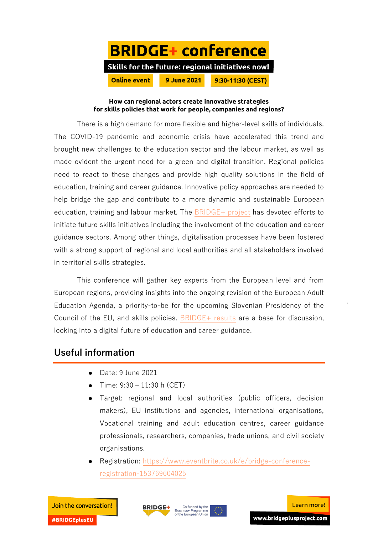

## **How can regional actors create innovative strategies for skills policies that work for people, companies and regions?**

There is a high demand for more flexible and higher-level skills of individuals. The COVID-19 pandemic and economic crisis have accelerated this trend and brought new challenges to the education sector and the labour market, as well as made evident the urgent need for a green and digital transition. Regional policies need to react to these changes and provide high quality solutions in the field of education, training and career guidance. Innovative policy approaches are needed to help bridge the gap and contribute to a more dynamic and sustainable European education, training and labour market. The  $BRIDGE+$  project has devoted efforts to initiate future skills initiatives including the involvement of the education and career guidance sectors. Among other things, digitalisation processes have been fostered with a strong support of regional and local authorities and all stakeholders involved in territorial skills strategies.

This conference will gather key experts from the European level and from European regions, providing insights into the ongoing revision of the European Adult Education Agenda, a priority-to-be for the upcoming Slovenian Presidency of the Council of the EU, and skills policies.  $BRIDGE+$  results are a base for discussion, looking into a digital future of education and career guidance.

## **Useful information**

- Date: 9 June 2021
- Time:  $9:30 11:30$  h (CET)
- Target: regional and local authorities (public officers, decision makers), EU institutions and agencies, international organisations, Vocational training and adult education centres, career guidance professionals, researchers, companies, trade unions, and civil society organisations.
- Registration: [https://www.eventbrite.co.uk/e/bridge-conference](https://www.eventbrite.co.uk/e/bridge-conference-registration-153769604025)[registration-153769604025](https://www.eventbrite.co.uk/e/bridge-conference-registration-153769604025)

**#BRIDGEplusEU**